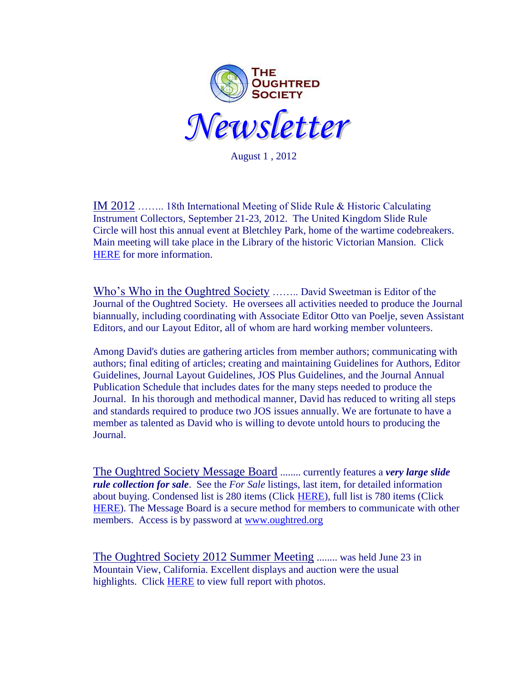

August 1 , 2012

IM 2012 …….. 18th International Meeting of Slide Rule & Historic Calculating Instrument Collectors, September 21-23, 2012. The United Kingdom Slide Rule Circle will host this annual event at Bletchley Park, home of the wartime codebreakers. Main meeting will take place in the Library of the historic Victorian Mansion. Click [HERE](http://www.oughtred.org/meets.shtml) for more information.

Who's Who in the Oughtred Society …….. David Sweetman is Editor of the Journal of the Oughtred Society. He oversees all activities needed to produce the Journal biannually, including coordinating with Associate Editor Otto van Poelje, seven Assistant Editors, and our Layout Editor, all of whom are hard working member volunteers.

Among David's duties are gathering articles from member authors; communicating with authors; final editing of articles; creating and maintaining Guidelines for Authors, Editor Guidelines, Journal Layout Guidelines, JOS Plus Guidelines, and the Journal Annual Publication Schedule that includes dates for the many steps needed to produce the Journal. In his thorough and methodical manner, David has reduced to writing all steps and standards required to produce two JOS issues annually. We are fortunate to have a member as talented as David who is willing to devote untold hours to producing the Journal.

The Oughtred Society Message Board ........ currently features a *very large slide rule collection for sale*. See the *For Sale* listings, last item, for detailed information about buying. Condensed list is 280 items (Click [HERE\)](http://www.quadd.info/OS%20srs%20for%20sale-condensed-May2012%20revA.pdf), full list is 780 items (Click [HERE\)](http://www.quadd.info/List%20of%20SRs%20for%20Sale.pdf). The Message Board is a secure method for members to communicate with other members. Access is by password at [www.oughtred.org](http://www.oughtred.org/) 

The Oughtred Society 2012 Summer Meeting ........ was held June 23 in Mountain View, California. Excellent displays and auction were the usual highlights. Click [HERE](http://www.oughtred.org/meets.shtml) to view full report with photos.